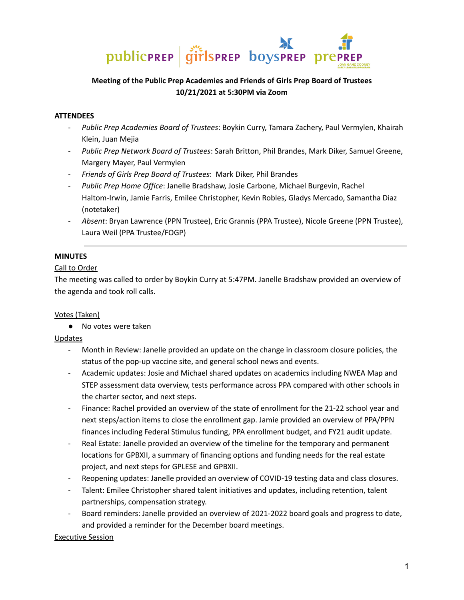

# **Meeting of the Public Prep Academies and Friends of Girls Prep Board of Trustees 10/21/2021 at 5:30PM via Zoom**

#### **ATTENDEES**

- *Public Prep Academies Board of Trustees*: Boykin Curry, Tamara Zachery, Paul Vermylen, Khairah Klein, Juan Mejia
- *Public Prep Network Board of Trustees*: Sarah Britton, Phil Brandes, Mark Diker, Samuel Greene, Margery Mayer, Paul Vermylen
- *Friends of Girls Prep Board of Trustees*: Mark Diker, Phil Brandes
- *Public Prep Home Office*: Janelle Bradshaw, Josie Carbone, Michael Burgevin, Rachel Haltom-Irwin, Jamie Farris, Emilee Christopher, Kevin Robles, Gladys Mercado, Samantha Diaz (notetaker)
- *Absent*: Bryan Lawrence (PPN Trustee), Eric Grannis (PPA Trustee), Nicole Greene (PPN Trustee), Laura Weil (PPA Trustee/FOGP)

## **MINUTES**

#### Call to Order

The meeting was called to order by Boykin Curry at 5:47PM. Janelle Bradshaw provided an overview of the agenda and took roll calls.

#### Votes (Taken)

● No votes were taken

Updates

- Month in Review: Janelle provided an update on the change in classroom closure policies, the status of the pop-up vaccine site, and general school news and events.
- Academic updates: Josie and Michael shared updates on academics including NWEA Map and STEP assessment data overview, tests performance across PPA compared with other schools in the charter sector, and next steps.
- Finance: Rachel provided an overview of the state of enrollment for the 21-22 school year and next steps/action items to close the enrollment gap. Jamie provided an overview of PPA/PPN finances including Federal Stimulus funding, PPA enrollment budget, and FY21 audit update.
- Real Estate: Janelle provided an overview of the timeline for the temporary and permanent locations for GPBXII, a summary of financing options and funding needs for the real estate project, and next steps for GPLESE and GPBXII.
- Reopening updates: Janelle provided an overview of COVID-19 testing data and class closures.
- Talent: Emilee Christopher shared talent initiatives and updates, including retention, talent partnerships, compensation strategy.
- Board reminders: Janelle provided an overview of 2021-2022 board goals and progress to date, and provided a reminder for the December board meetings.

Executive Session